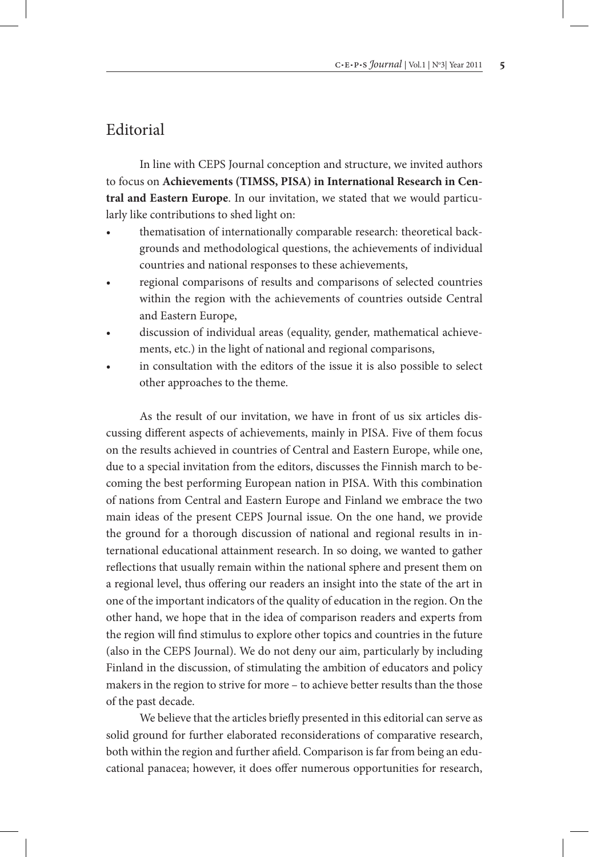## Editorial

In line with CEPS Journal conception and structure, we invited authors to focus on **Achievements (TIMSS, PISA) in International Research in Central and Eastern Europe**. In our invitation, we stated that we would particularly like contributions to shed light on:

- thematisation of internationally comparable research: theoretical backgrounds and methodological questions, the achievements of individual countries and national responses to these achievements,
- regional comparisons of results and comparisons of selected countries within the region with the achievements of countries outside Central and Eastern Europe,
- discussion of individual areas (equality, gender, mathematical achievements, etc.) in the light of national and regional comparisons,
- in consultation with the editors of the issue it is also possible to select other approaches to the theme.

As the result of our invitation, we have in front of us six articles discussing different aspects of achievements, mainly in PISA. Five of them focus on the results achieved in countries of Central and Eastern Europe, while one, due to a special invitation from the editors, discusses the Finnish march to becoming the best performing European nation in PISA. With this combination of nations from Central and Eastern Europe and Finland we embrace the two main ideas of the present CEPS Journal issue. On the one hand, we provide the ground for a thorough discussion of national and regional results in international educational attainment research. In so doing, we wanted to gather reflections that usually remain within the national sphere and present them on a regional level, thus offering our readers an insight into the state of the art in one of the important indicators of the quality of education in the region. On the other hand, we hope that in the idea of comparison readers and experts from the region will find stimulus to explore other topics and countries in the future (also in the CEPS Journal). We do not deny our aim, particularly by including Finland in the discussion, of stimulating the ambition of educators and policy makers in the region to strive for more – to achieve better results than the those of the past decade.

We believe that the articles briefly presented in this editorial can serve as solid ground for further elaborated reconsiderations of comparative research, both within the region and further afield. Comparison is far from being an educational panacea; however, it does offer numerous opportunities for research,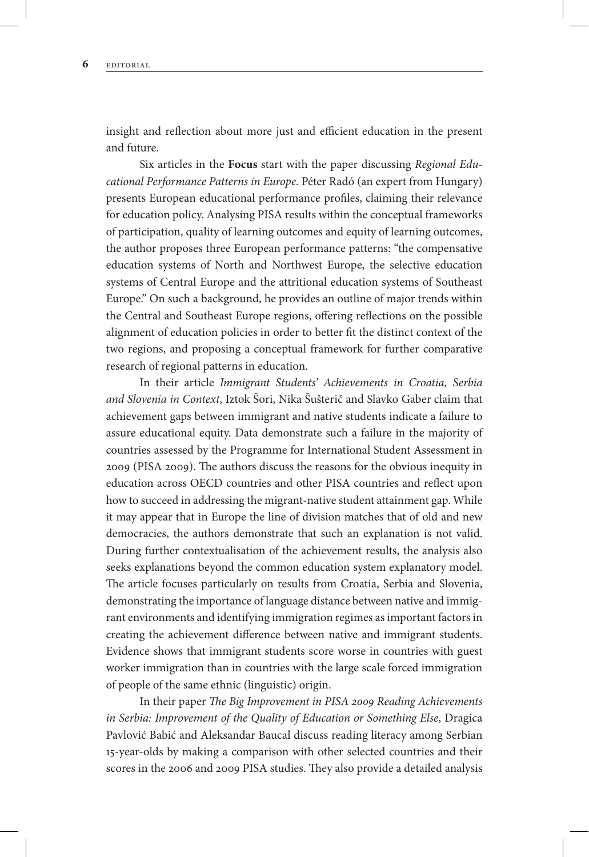insight and reflection about more just and efficient education in the present and future.

Six articles in the **Focus** start with the paper discussing *Regional Educational Performance Patterns in Europe.* Péter Radó (an expert from Hungary) presents European educational performance profiles, claiming their relevance for education policy. Analysing PISA results within the conceptual frameworks of participation, quality of learning outcomes and equity of learning outcomes, the author proposes three European performance patterns: "the compensative education systems of North and Northwest Europe, the selective education systems of Central Europe and the attritional education systems of Southeast Europe." On such a background, he provides an outline of major trends within the Central and Southeast Europe regions, offering reflections on the possible alignment of education policies in order to better fit the distinct context of the two regions, and proposing a conceptual framework for further comparative research of regional patterns in education.

In their article *Immigrant Students' Achievements in Croatia, Serbia and Slovenia in Context*, Iztok Šori, Nika Šušterič and Slavko Gaber claim that achievement gaps between immigrant and native students indicate a failure to assure educational equity. Data demonstrate such a failure in the majority of countries assessed by the Programme for International Student Assessment in 2009 (PISA 2009). The authors discuss the reasons for the obvious inequity in education across OECD countries and other PISA countries and reflect upon how to succeed in addressing the migrant-native student attainment gap. While it may appear that in Europe the line of division matches that of old and new democracies, the authors demonstrate that such an explanation is not valid. During further contextualisation of the achievement results, the analysis also seeks explanations beyond the common education system explanatory model. The article focuses particularly on results from Croatia, Serbia and Slovenia, demonstrating the importance of language distance between native and immigrant environments and identifying immigration regimes as important factors in creating the achievement difference between native and immigrant students. Evidence shows that immigrant students score worse in countries with guest worker immigration than in countries with the large scale forced immigration of people of the same ethnic (linguistic) origin.

In their paper *The Big Improvement in PISA 2009 Reading Achievements in Serbia: Improvement of the Quality of Education or Something Else*, Dragica Pavlović Babić and Aleksandar Baucal discuss reading literacy among Serbian 15-year-olds by making a comparison with other selected countries and their scores in the 2006 and 2009 PISA studies. They also provide a detailed analysis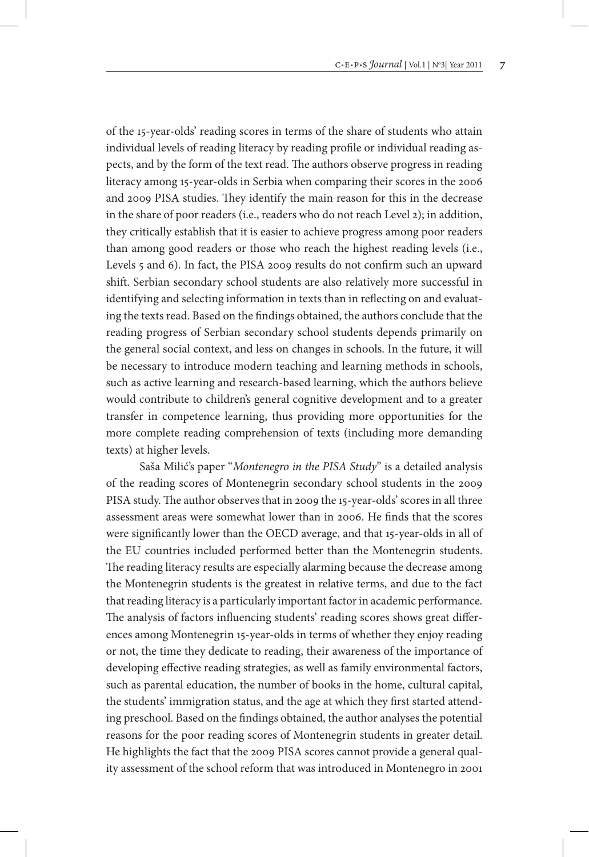of the 15-year-olds' reading scores in terms of the share of students who attain individual levels of reading literacy by reading profile or individual reading aspects, and by the form of the text read. The authors observe progress in reading literacy among 15-year-olds in Serbia when comparing their scores in the 2006 and 2009 PISA studies. They identify the main reason for this in the decrease in the share of poor readers (i.e., readers who do not reach Level 2); in addition, they critically establish that it is easier to achieve progress among poor readers than among good readers or those who reach the highest reading levels (i.e., Levels 5 and 6). In fact, the PISA 2009 results do not confirm such an upward shift. Serbian secondary school students are also relatively more successful in identifying and selecting information in texts than in reflecting on and evaluating the texts read. Based on the findings obtained, the authors conclude that the reading progress of Serbian secondary school students depends primarily on the general social context, and less on changes in schools. In the future, it will be necessary to introduce modern teaching and learning methods in schools, such as active learning and research-based learning, which the authors believe would contribute to children's general cognitive development and to a greater transfer in competence learning, thus providing more opportunities for the more complete reading comprehension of texts (including more demanding texts) at higher levels.

Saša Milić's paper "*Montenegro in the PISA Study*" is a detailed analysis of the reading scores of Montenegrin secondary school students in the 2009 PISA study. The author observes that in 2009 the 15-year-olds' scores in all three assessment areas were somewhat lower than in 2006. He finds that the scores were significantly lower than the OECD average, and that 15-year-olds in all of the EU countries included performed better than the Montenegrin students. The reading literacy results are especially alarming because the decrease among the Montenegrin students is the greatest in relative terms, and due to the fact that reading literacy is a particularly important factor in academic performance. The analysis of factors influencing students' reading scores shows great differences among Montenegrin 15-year-olds in terms of whether they enjoy reading or not, the time they dedicate to reading, their awareness of the importance of developing effective reading strategies, as well as family environmental factors, such as parental education, the number of books in the home, cultural capital, the students' immigration status, and the age at which they first started attending preschool. Based on the findings obtained, the author analyses the potential reasons for the poor reading scores of Montenegrin students in greater detail. He highlights the fact that the 2009 PISA scores cannot provide a general quality assessment of the school reform that was introduced in Montenegro in 2001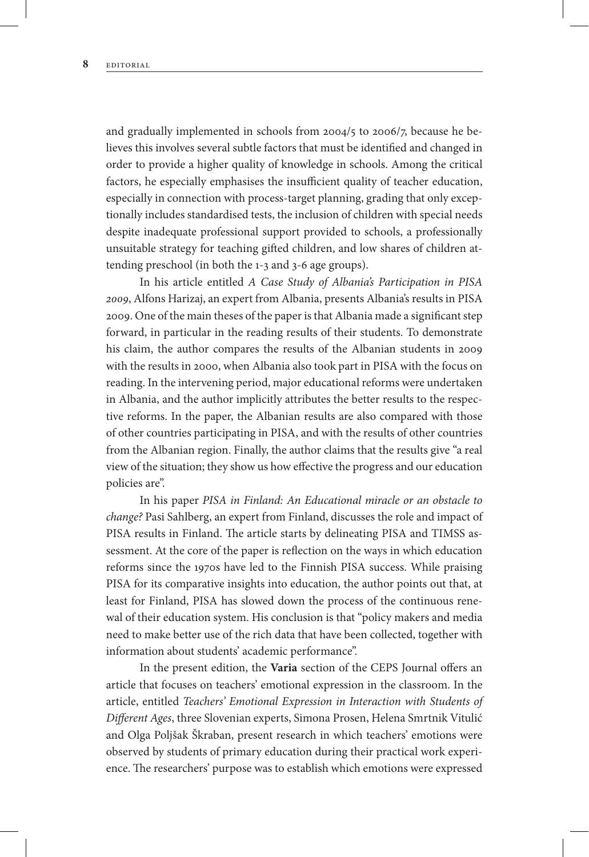and gradually implemented in schools from 2004/5 to 2006/7, because he believes this involves several subtle factors that must be identified and changed in order to provide a higher quality of knowledge in schools. Among the critical factors, he especially emphasises the insufficient quality of teacher education, especially in connection with process-target planning, grading that only exceptionally includes standardised tests, the inclusion of children with special needs despite inadequate professional support provided to schools, a professionally unsuitable strategy for teaching gifted children, and low shares of children attending preschool (in both the 1-3 and 3-6 age groups).

In his article entitled *A Case Study of Albania's Participation in PISA 2009*, Alfons Harizaj, an expert from Albania, presents Albania's results in PISA 2009. One of the main theses of the paper is that Albania made a significant step forward, in particular in the reading results of their students. To demonstrate his claim, the author compares the results of the Albanian students in 2009 with the results in 2000, when Albania also took part in PISA with the focus on reading. In the intervening period, major educational reforms were undertaken in Albania, and the author implicitly attributes the better results to the respective reforms. In the paper, the Albanian results are also compared with those of other countries participating in PISA, and with the results of other countries from the Albanian region. Finally, the author claims that the results give "a real view of the situation; they show us how effective the progress and our education policies are".

In his paper *PISA in Finland: An Educational miracle or an obstacle to change?* Pasi Sahlberg, an expert from Finland, discusses the role and impact of PISA results in Finland. The article starts by delineating PISA and TIMSS assessment. At the core of the paper is reflection on the ways in which education reforms since the 1970s have led to the Finnish PISA success. While praising PISA for its comparative insights into education, the author points out that, at least for Finland, PISA has slowed down the process of the continuous renewal of their education system. His conclusion is that "policy makers and media need to make better use of the rich data that have been collected, together with information about students' academic performance".

In the present edition, the **Varia** section of the CEPS Journal offers an article that focuses on teachers' emotional expression in the classroom. In the article, entitled *Teachers' Emotional Expression in Interaction with Students of Different Ages*, three Slovenian experts, Simona Prosen, Helena Smrtnik Vitulić and Olga Poljšak Škraban, present research in which teachers' emotions were observed by students of primary education during their practical work experience. The researchers' purpose was to establish which emotions were expressed